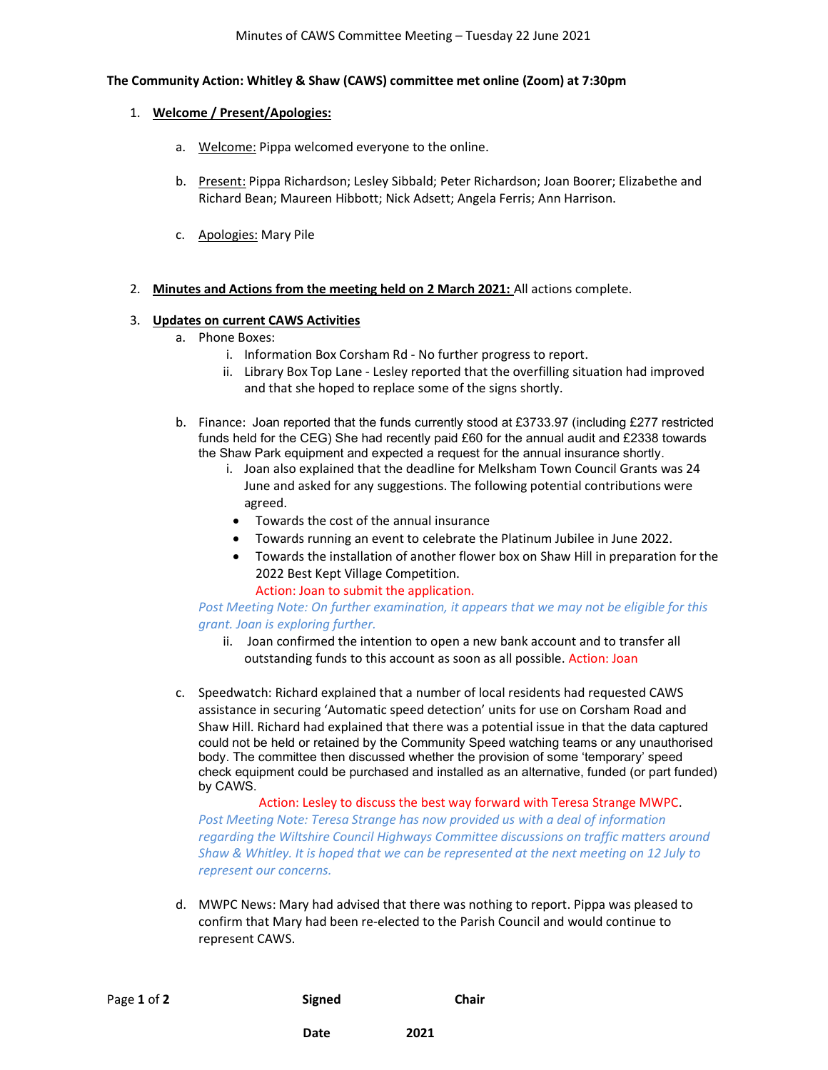### The Community Action: Whitley & Shaw (CAWS) committee met online (Zoom) at 7:30pm

### 1. Welcome / Present/Apologies:

- a. Welcome: Pippa welcomed everyone to the online.
- b. Present: Pippa Richardson; Lesley Sibbald; Peter Richardson; Joan Boorer; Elizabethe and Richard Bean; Maureen Hibbott; Nick Adsett; Angela Ferris; Ann Harrison.
- c. Apologies: Mary Pile
- 2. Minutes and Actions from the meeting held on 2 March 2021: All actions complete.

### 3. Updates on current CAWS Activities

- a. Phone Boxes:
	- i. Information Box Corsham Rd No further progress to report.
	- ii. Library Box Top Lane Lesley reported that the overfilling situation had improved and that she hoped to replace some of the signs shortly.
- b. Finance: Joan reported that the funds currently stood at £3733.97 (including £277 restricted funds held for the CEG) She had recently paid £60 for the annual audit and £2338 towards the Shaw Park equipment and expected a request for the annual insurance shortly.
	- i. Joan also explained that the deadline for Melksham Town Council Grants was 24 June and asked for any suggestions. The following potential contributions were agreed.
	- Towards the cost of the annual insurance
	- Towards running an event to celebrate the Platinum Jubilee in June 2022.
	- Towards the installation of another flower box on Shaw Hill in preparation for the 2022 Best Kept Village Competition.

Action: Joan to submit the application.

# Post Meeting Note: On further examination, it appears that we may not be eligible for this grant. Joan is exploring further.

- ii. Joan confirmed the intention to open a new bank account and to transfer all outstanding funds to this account as soon as all possible. Action: Joan
- c. Speedwatch: Richard explained that a number of local residents had requested CAWS assistance in securing 'Automatic speed detection' units for use on Corsham Road and Shaw Hill. Richard had explained that there was a potential issue in that the data captured could not be held or retained by the Community Speed watching teams or any unauthorised body. The committee then discussed whether the provision of some 'temporary' speed check equipment could be purchased and installed as an alternative, funded (or part funded) by CAWS.

Action: Lesley to discuss the best way forward with Teresa Strange MWPC. Post Meeting Note: Teresa Strange has now provided us with a deal of information regarding the Wiltshire Council Highways Committee discussions on traffic matters around Shaw & Whitley. It is hoped that we can be represented at the next meeting on 12 July to represent our concerns.

d. MWPC News: Mary had advised that there was nothing to report. Pippa was pleased to confirm that Mary had been re-elected to the Parish Council and would continue to represent CAWS.

| Page 1 of 2 | <b>Signed</b> | Chair |
|-------------|---------------|-------|
|             | Date          | 2021  |